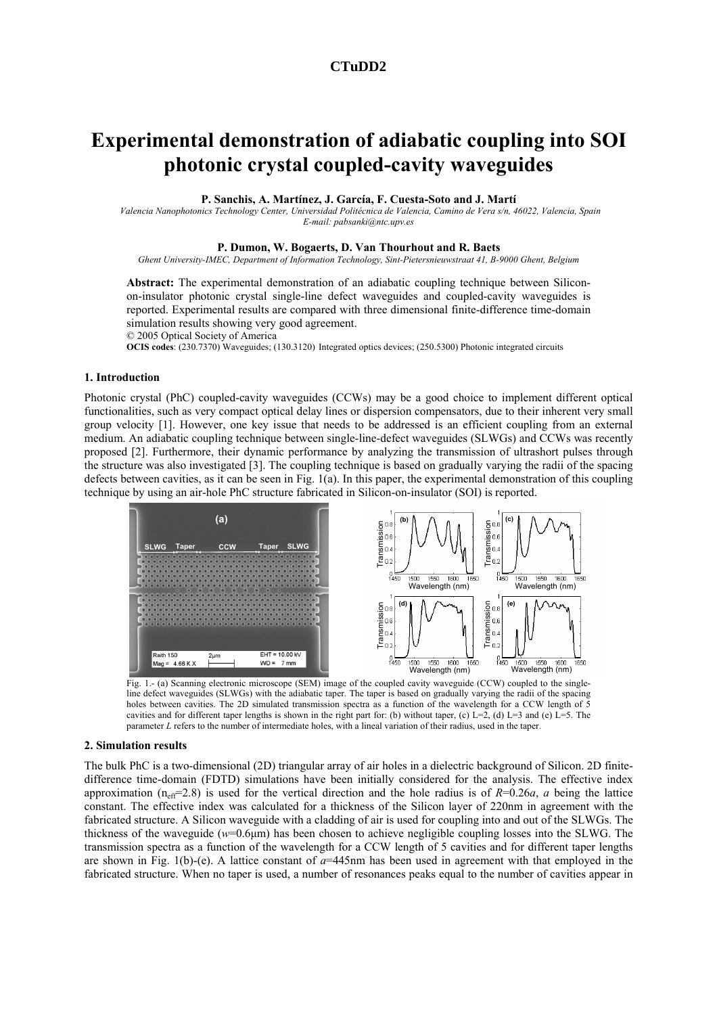# **CTuDD2**

# **Experimental demonstration of adiabatic coupling into SOI photonic crystal coupled-cavity waveguides**

**P. Sanchis, A. Martínez, J. García, F. Cuesta-Soto and J. Martí** 

*Valencia Nanophotonics Technology Center, Universidad Politécnica de Valencia, Camino de Vera s/n, 46022, Valencia, Spain E-mail: pabsanki@ntc.upv.es* 

#### **P. Dumon, W. Bogaerts, D. Van Thourhout and R. Baets**

*Ghent University-IMEC, Department of Information Technology, Sint-Pietersnieuwstraat 41, B-9000 Ghent, Belgium* 

**Abstract:** The experimental demonstration of an adiabatic coupling technique between Siliconon-insulator photonic crystal single-line defect waveguides and coupled-cavity waveguides is reported. Experimental results are compared with three dimensional finite-difference time-domain simulation results showing very good agreement.

© 2005 Optical Society of America

**OCIS codes**: (230.7370) Waveguides; (130.3120) Integrated optics devices; (250.5300) Photonic integrated circuits

#### **1. Introduction**

Photonic crystal (PhC) coupled-cavity waveguides (CCWs) may be a good choice to implement different optical functionalities, such as very compact optical delay lines or dispersion compensators, due to their inherent very small group velocity [1]. However, one key issue that needs to be addressed is an efficient coupling from an external medium. An adiabatic coupling technique between single-line-defect waveguides (SLWGs) and CCWs was recently proposed [2]. Furthermore, their dynamic performance by analyzing the transmission of ultrashort pulses through the structure was also investigated [3]. The coupling technique is based on gradually varying the radii of the spacing defects between cavities, as it can be seen in Fig. 1(a). In this paper, the experimental demonstration of this coupling technique by using an air-hole PhC structure fabricated in Silicon-on-insulator (SOI) is reported.



Fig. 1.- (a) Scanning electronic microscope (SEM) image of the coupled cavity waveguide (CCW) coupled to the singleline defect waveguides (SLWGs) with the adiabatic taper. The taper is based on gradually varying the radii of the spacing holes between cavities. The 2D simulated transmission spectra as a function of the wavelength for a CCW length of 5 cavities and for different taper lengths is shown in the right part for: (b) without taper, (c) L=2, (d) L=3 and (e) L=5. The parameter *L* refers to the number of intermediate holes, with a lineal variation of their radius, used in the taper.

## **2. Simulation results**

The bulk PhC is a two-dimensional (2D) triangular array of air holes in a dielectric background of Silicon. 2D finitedifference time-domain (FDTD) simulations have been initially considered for the analysis. The effective index approximation ( $n_{\text{eff}}$ =2.8) is used for the vertical direction and the hole radius is of  $R=0.26a$ , *a* being the lattice constant. The effective index was calculated for a thickness of the Silicon layer of 220nm in agreement with the fabricated structure. A Silicon waveguide with a cladding of air is used for coupling into and out of the SLWGs. The thickness of the waveguide (*w*=0.6µm) has been chosen to achieve negligible coupling losses into the SLWG. The transmission spectra as a function of the wavelength for a CCW length of 5 cavities and for different taper lengths are shown in Fig. 1(b)-(e). A lattice constant of *a*=445nm has been used in agreement with that employed in the fabricated structure. When no taper is used, a number of resonances peaks equal to the number of cavities appear in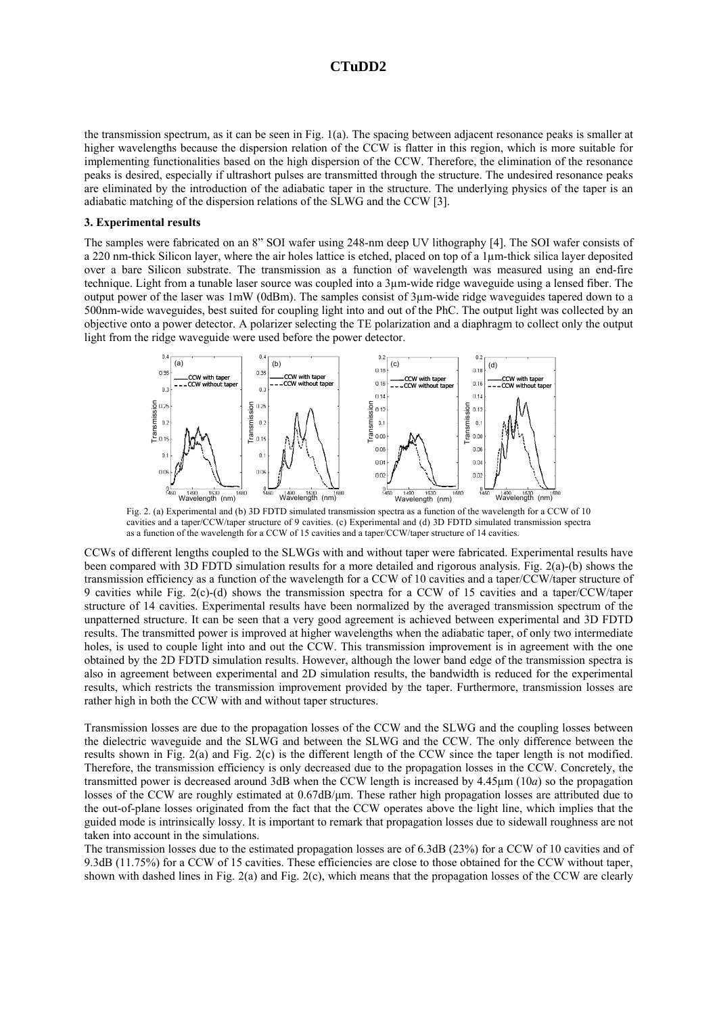## **CTuDD2**

the transmission spectrum, as it can be seen in Fig. 1(a). The spacing between adjacent resonance peaks is smaller at higher wavelengths because the dispersion relation of the CCW is flatter in this region, which is more suitable for implementing functionalities based on the high dispersion of the CCW. Therefore, the elimination of the resonance peaks is desired, especially if ultrashort pulses are transmitted through the structure. The undesired resonance peaks are eliminated by the introduction of the adiabatic taper in the structure. The underlying physics of the taper is an adiabatic matching of the dispersion relations of the SLWG and the CCW [3].

#### **3. Experimental results**

The samples were fabricated on an 8" SOI wafer using 248-nm deep UV lithography [4]. The SOI wafer consists of a 220 nm-thick Silicon layer, where the air holes lattice is etched, placed on top of a 1µm-thick silica layer deposited over a bare Silicon substrate. The transmission as a function of wavelength was measured using an end-fire technique. Light from a tunable laser source was coupled into a 3µm-wide ridge waveguide using a lensed fiber. The output power of the laser was 1mW (0dBm). The samples consist of 3µm-wide ridge waveguides tapered down to a 500nm-wide waveguides, best suited for coupling light into and out of the PhC. The output light was collected by an objective onto a power detector. A polarizer selecting the TE polarization and a diaphragm to collect only the output light from the ridge waveguide were used before the power detector.



Fig. 2. (a) Experimental and (b) 3D FDTD simulated transmission spectra as a function of the wavelength for a CCW of 10 cavities and a taper/CCW/taper structure of 9 cavities. (c) Experimental and (d) 3D FDTD simulated transmission spectra as a function of the wavelength for a CCW of 15 cavities and a taper/CCW/taper structure of 14 cavities.

CCWs of different lengths coupled to the SLWGs with and without taper were fabricated. Experimental results have been compared with 3D FDTD simulation results for a more detailed and rigorous analysis. Fig. 2(a)-(b) shows the transmission efficiency as a function of the wavelength for a CCW of 10 cavities and a taper/CCW/taper structure of 9 cavities while Fig. 2(c)-(d) shows the transmission spectra for a CCW of 15 cavities and a taper/CCW/taper structure of 14 cavities. Experimental results have been normalized by the averaged transmission spectrum of the unpatterned structure. It can be seen that a very good agreement is achieved between experimental and 3D FDTD results. The transmitted power is improved at higher wavelengths when the adiabatic taper, of only two intermediate holes, is used to couple light into and out the CCW. This transmission improvement is in agreement with the one obtained by the 2D FDTD simulation results. However, although the lower band edge of the transmission spectra is also in agreement between experimental and 2D simulation results, the bandwidth is reduced for the experimental results, which restricts the transmission improvement provided by the taper. Furthermore, transmission losses are rather high in both the CCW with and without taper structures.

Transmission losses are due to the propagation losses of the CCW and the SLWG and the coupling losses between the dielectric waveguide and the SLWG and between the SLWG and the CCW. The only difference between the results shown in Fig. 2(a) and Fig. 2(c) is the different length of the CCW since the taper length is not modified. Therefore, the transmission efficiency is only decreased due to the propagation losses in the CCW. Concretely, the transmitted power is decreased around 3dB when the CCW length is increased by 4.45µm (10*a*) so the propagation losses of the CCW are roughly estimated at  $0.67$ dB/µm. These rather high propagation losses are attributed due to the out-of-plane losses originated from the fact that the CCW operates above the light line, which implies that the guided mode is intrinsically lossy. It is important to remark that propagation losses due to sidewall roughness are not taken into account in the simulations.

The transmission losses due to the estimated propagation losses are of 6.3dB (23%) for a CCW of 10 cavities and of 9.3dB (11.75%) for a CCW of 15 cavities. These efficiencies are close to those obtained for the CCW without taper, shown with dashed lines in Fig. 2(a) and Fig. 2(c), which means that the propagation losses of the CCW are clearly